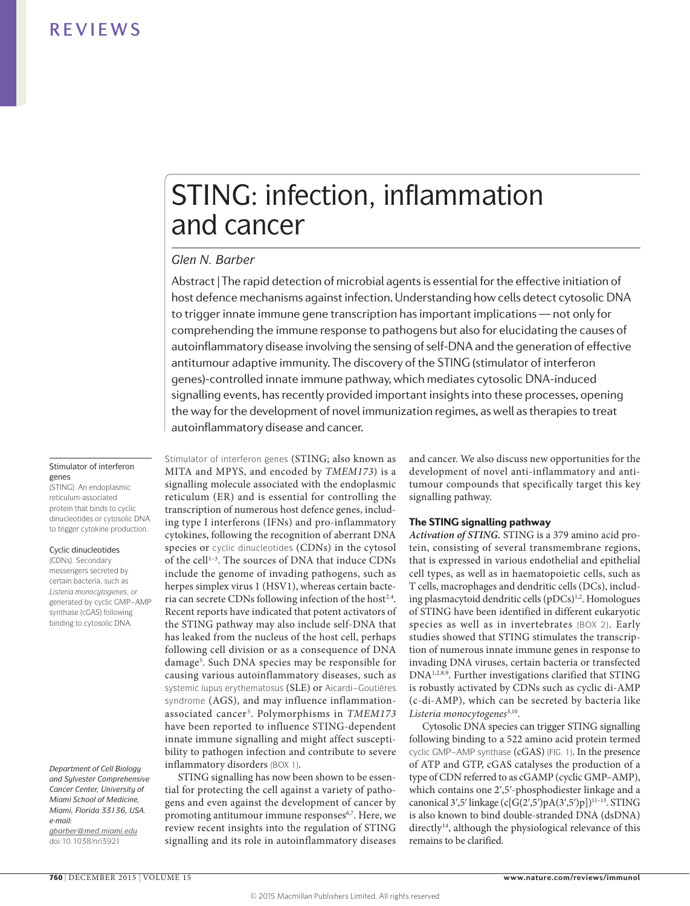# STING: infection, inflammation and cancer

# *Glen N. Barber*

Abstract | The rapid detection of microbial agents is essential for the effective initiation of host defence mechanisms against infection. Understanding how cells detect cytosolic DNA to trigger innate immune gene transcription has important implications — not only for comprehending the immune response to pathogens but also for elucidating the causes of autoinflammatory disease involving the sensing of self-DNA and the generation of effective antitumour adaptive immunity. The discovery of the STING (stimulator of interferon genes)-controlled innate immune pathway, which mediates cytosolic DNA-induced signalling events, has recently provided important insights into these processes, opening the way for the development of novel immunization regimes, as well as therapies to treat autoinflammatory disease and cancer.

### Stimulator of interferon genes

(STING). An endoplasmic reticulum-associated protein that binds to cyclic dinucleotides or cytosolic DNA to trigger cytokine production.

### Cyclic dinucleotides

(CDNs). Secondary messengers secreted by certain bacteria, such as *Listeria monocytogenes*, or generated by cyclic GMP–AMP synthase (cGAS) following binding to cytosolic DNA.

*Department of Cell Biology and Sylvester Comprehensive Cancer Center, University of Miami School of Medicine, Miami, Florida 33136, USA. e-mail: [gbarber@med.miami.edu](mailto:gbarber%40med.miami.edu?subject=)* doi:10.1038/nri3921

Stimulator of interferon genes (STING; also known as MITA and MPYS, and encoded by *TMEM173*) is a signalling molecule associated with the endoplasmic reticulum (ER) and is essential for controlling the transcription of numerous host defence genes, including type I interferons (IFNs) and pro-inflammatory cytokines, following the recognition of aberrant DNA species or cyclic dinucleotides (CDNs) in the cytosol of the cell<sup>1-3</sup>. The sources of DNA that induce CDNs include the genome of invading pathogens, such as herpes simplex virus 1 (HSV1), whereas certain bacteria can secrete CDNs following infection of the host<sup>2,4</sup>. Recent reports have indicated that potent activators of the STING pathway may also include self-DNA that has leaked from the nucleus of the host cell, perhaps following cell division or as a consequence of DNA damage<sup>5</sup>. Such DNA species may be responsible for causing various autoinflammatory diseases, such as systemic lupus erythematosus (SLE) or Aicardi–Goutières syndrome (AGS), and may influence inflammationassociated cancer <sup>5</sup> . Polymorphisms in *TMEM173* have been reported to influence STING-dependent innate immune signalling and might affect susceptibility to pathogen infection and contribute to severe inflammatory disorders (BOX 1).

STING signalling has now been shown to be essential for protecting the cell against a variety of pathogens and even against the development of cancer by promoting antitumour immune responses<sup>6,7</sup>. Here, we review recent insights into the regulation of STING signalling and its role in autoinflammatory diseases and cancer. We also discuss new opportunities for the development of novel anti-inflammatory and antitumour compounds that specifically target this key signalling pathway.

# The STING signalling pathway

*Activation of STING.* STING is a 379 amino acid protein, consisting of several transmembrane regions, that is expressed in various endothelial and epithelial cell types, as well as in haematopoietic cells, such as T cells, macrophages and dendritic cells (DCs), including plasmacytoid dendritic cells (pDCs)<sup>1,2</sup>. Homologues of STING have been identified in different eukaryotic species as well as in invertebrates (BOX 2). Early studies showed that STING stimulates the transcription of numerous innate immune genes in response to invading DNA viruses, certain bacteria or transfected DNA1,2,8,9 . Further investigations clarified that STING is robustly activated by CDNs such as cyclic di-AMP (c-di-AMP), which can be secreted by bacteria like *Listeria monocytogenes*3,10.

Cytosolic DNA species can trigger STING signalling following binding to a 522 amino acid protein termed cyclic GMP–AMP synthase (cGAS) (FIG. 1). In the presence of ATP and GTP, cGAS catalyses the production of a type of CDN referred to as cGAMP (cyclic GMP–AMP), which contains one 2ʹ,5ʹ-phosphodiester linkage and a canonical 3ʹ,5ʹ linkage (c[G(2ʹ,5ʹ)pA(3ʹ,5ʹ)p])11–13. STING is also known to bind double-stranded DNA (dsDNA) directly<sup>14</sup>, although the physiological relevance of this remains to be clarified.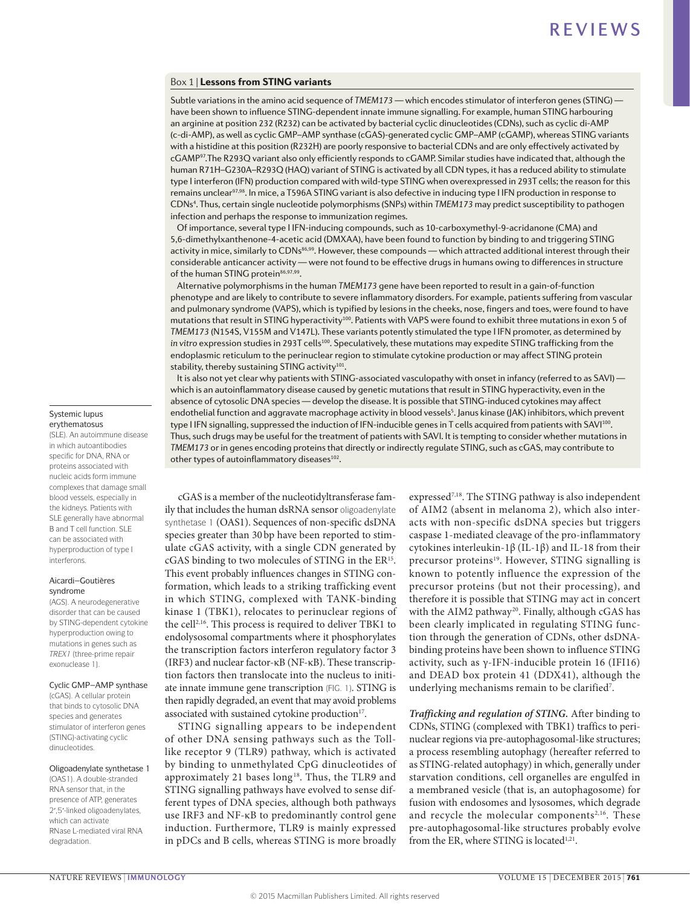# Box 1 | Lessons from STING variants

Subtle variations in the amino acid sequence of *TMEM173* — which encodes stimulator of interferon genes (STING) have been shown to influence STING-dependent innate immune signalling. For example, human STING harbouring an arginine at position 232 (R232) can be activated by bacterial cyclic dinucleotides (CDNs), such as cyclic di-AMP (c-di-AMP), as well as cyclic GMP–AMP synthase (cGAS)-generated cyclic GMP–AMP (cGAMP), whereas STING variants with a histidine at this position (R232H) are poorly responsive to bacterial CDNs and are only effectively activated by cGAMP97.The R293Q variant also only efficiently responds to cGAMP. Similar studies have indicated that, although the human R71H–G230A–R293Q (HAQ) variant of STING is activated by all CDN types, it has a reduced ability to stimulate type I interferon (IFN) production compared with wild-type STING when overexpressed in 293T cells; the reason for this remains unclear<sup>97,98</sup>. In mice, a T596A STING variant is also defective in inducing type I IFN production in response to CDNs4 . Thus, certain single nucleotide polymorphisms (SNPs) within *TMEM173* may predict susceptibility to pathogen infection and perhaps the response to immunization regimes.

Of importance, several type I IFN-inducing compounds, such as 10‑carboxymethyl‑9‑acridanone (CMA) and 5,6-dimethylxanthenone-4-acetic acid (DMXAA), have been found to function by binding to and triggering STING activity in mice, similarly to CDNs<sup>86,99</sup>. However, these compounds — which attracted additional interest through their considerable anticancer activity — were not found to be effective drugs in humans owing to differences in structure of the human STING protein<sup>86,97,99</sup>.

Alternative polymorphisms in the human *TMEM173* gene have been reported to result in a gain-of-function phenotype and are likely to contribute to severe inflammatory disorders. For example, patients suffering from vascular and pulmonary syndrome (VAPS), which is typified by lesions in the cheeks, nose, fingers and toes, were found to have mutations that result in STING hyperactivity100. Patients with VAPS were found to exhibit three mutations in exon 5 of *TMEM173* (N154S, V155M and V147L). These variants potently stimulated the type I IFN promoter, as determined by *in vitro* expression studies in 293T cells100. Speculatively, these mutations may expedite STING trafficking from the endoplasmic reticulum to the perinuclear region to stimulate cytokine production or may affect STING protein stability, thereby sustaining STING activity<sup>101</sup>

It is also not yet clear why patients with STING-associated vasculopathy with onset in infancy (referred to as SAVI) which is an autoinflammatory disease caused by genetic mutations that result in STING hyperactivity, even in the absence of cytosolic DNA species — develop the disease. It is possible that STING-induced cytokines may affect endothelial function and aggravate macrophage activity in blood vessels<sup>5</sup>. Janus kinase (JAK) inhibitors, which prevent type I IFN signalling, suppressed the induction of IFN-inducible genes in T cells acquired from patients with SAVI<sup>100</sup>. Thus, such drugs may be useful for the treatment of patients with SAVI. It is tempting to consider whether mutations in *TMEM173* or in genes encoding proteins that directly or indirectly regulate STING, such as cGAS, may contribute to other types of autoinflammatory diseases<sup>102</sup>.

cGAS is a member of the nucleotidyltransferase family that includes the human dsRNA sensor oligoadenylate synthetase 1 (OAS1). Sequences of non-specific dsDNA species greater than 30 bp have been reported to stimulate cGAS activity, with a single CDN generated by cGAS binding to two molecules of STING in the ER<sup>15</sup>. This event probably influences changes in STING conformation, which leads to a striking trafficking event in which STING, complexed with TANK-binding kinase 1 (TBK1), relocates to perinuclear regions of the cell<sup>2,16</sup>. This process is required to deliver TBK1 to endolysosomal compartments where it phosphorylates the transcription factors interferon regulatory factor 3 (IRF3) and nuclear factor-κB (NF-κB). These transcription factors then translocate into the nucleus to initiate innate immune gene transcription (FIG. 1). STING is then rapidly degraded, an event that may avoid problems associated with sustained cytokine production<sup>17</sup>.

STING signalling appears to be independent of other DNA sensing pathways such as the Tolllike receptor 9 (TLR9) pathway, which is activated by binding to unmethylated CpG dinucleotides of approximately 21 bases long<sup>18</sup>. Thus, the TLR9 and STING signalling pathways have evolved to sense different types of DNA species, although both pathways use IRF3 and NF-κB to predominantly control gene induction. Furthermore, TLR9 is mainly expressed in pDCs and B cells, whereas STING is more broadly expressed<sup>7,18</sup>. The STING pathway is also independent of AIM2 (absent in melanoma 2), which also interacts with non-specific dsDNA species but triggers caspase 1-mediated cleavage of the pro-inflammatory cytokines interleukin-1β (IL-1β) and IL-18 from their precursor proteins<sup>19</sup>. However, STING signalling is known to potently influence the expression of the precursor proteins (but not their processing), and therefore it is possible that STING may act in concert with the AIM2 pathway<sup>20</sup>. Finally, although cGAS has been clearly implicated in regulating STING function through the generation of CDNs, other dsDNAbinding proteins have been shown to influence STING activity, such as  $γ$ -IFN-inducible protein 16 (IFI16) and DEAD box protein 41 (DDX41), although the underlying mechanisms remain to be clarified7 .

*Trafficking and regulation of STING.* After binding to CDNs, STING (complexed with TBK1) traffics to perinuclear regions via pre-autophagosomal-like structures; a process resembling autophagy (hereafter referred to as STING-related autophagy) in which, generally under starvation conditions, cell organelles are engulfed in a membraned vesicle (that is, an autophagosome) for fusion with endosomes and lysosomes, which degrade and recycle the molecular components<sup>2,16</sup>. These pre-autophagosomal-like structures probably evolve from the ER, where STING is located<sup>1,21</sup>.

### Systemic lupus erythematosus

(SLE). An autoimmune disease in which autoantibodies specific for DNA, RNA or proteins associated with nucleic acids form immune complexes that damage small blood vessels, especially in the kidneys. Patients with SLE generally have abnormal B and T cell function. SLE can be associated with hyperproduction of type I interferons.

### Aicardi–Goutières syndrome

(AGS). A neurodegenerative disorder that can be caused by STING-dependent cytokine hyperproduction owing to mutations in genes such as *TREX1* (three-prime repair exonuclease 1).

Cyclic GMP–AMP synthase

(cGAS). A cellular protein that binds to cytosolic DNA species and generates stimulator of interferon genes (STING)-activating cyclic dinucleotides.

# Oligoadenylate synthetase 1

(OAS1). A double-stranded RNA sensor that, in the presence of ATP, generates 2ʹ,5ʹ-linked oligoadenylates, which can activate RNase L-mediated viral RNA degradation.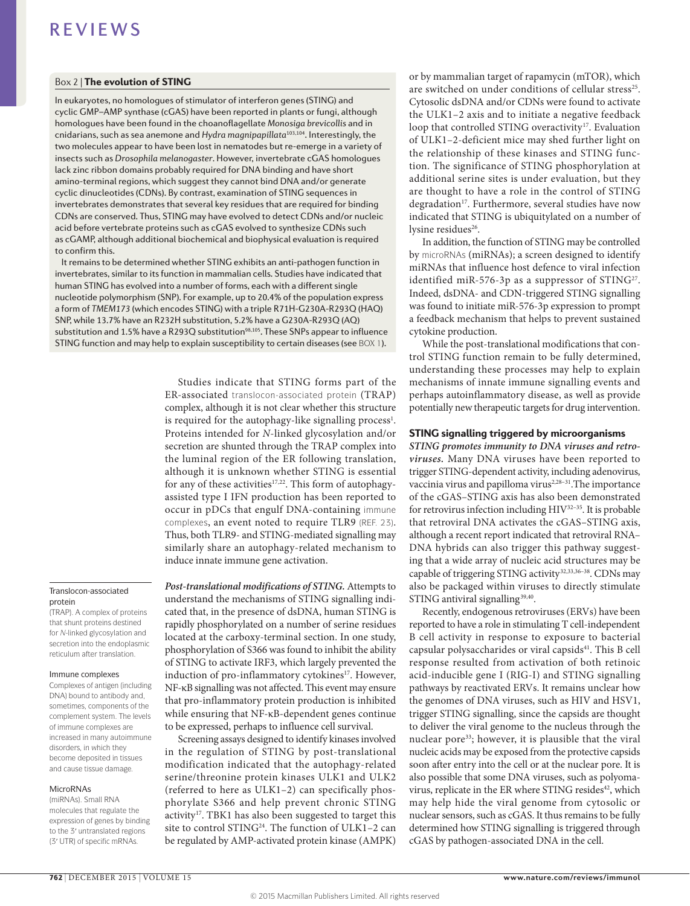# Box 2 | The evolution of STING

In eukaryotes, no homologues of stimulator of interferon genes (STING) and cyclic GMP–AMP synthase (cGAS) have been reported in plants or fungi, although homologues have been found in the choanoflagellate *Monosiga brevicollis* and in cnidarians, such as sea anemone and *Hydra magnipapillata*103,104. Interestingly, the two molecules appear to have been lost in nematodes but re-emerge in a variety of insects such as *Drosophila melanogaster*. However, invertebrate cGAS homologues lack zinc ribbon domains probably required for DNA binding and have short amino-terminal regions, which suggest they cannot bind DNA and/or generate cyclic dinucleotides (CDNs). By contrast, examination of STING sequences in invertebrates demonstrates that several key residues that are required for binding CDNs are conserved. Thus, STING may have evolved to detect CDNs and/or nucleic acid before vertebrate proteins such as cGAS evolved to synthesize CDNs such as cGAMP, although additional biochemical and biophysical evaluation is required to confirm this.

It remains to be determined whether STING exhibits an anti-pathogen function in invertebrates, similar to its function in mammalian cells. Studies have indicated that human STING has evolved into a number of forms, each with a different single nucleotide polymorphism (SNP). For example, up to 20.4% of the population express a form of *TMEM173* (which encodes STING) with a triple R71H-G230A-R293Q (HAQ) SNP, while 13.7% have an R232H substitution, 5.2% have a G230A-R293Q (AQ) substitution and 1.5% have a R293Q substitution<sup>98,105</sup>. These SNPs appear to influence STING function and may help to explain susceptibility to certain diseases (see BOX 1).

> Studies indicate that STING forms part of the ER-associated translocon-associated protein (TRAP) complex, although it is not clear whether this structure is required for the autophagy-like signalling process<sup>1</sup>. Proteins intended for *N*-linked glycosylation and/or secretion are shunted through the TRAP complex into the luminal region of the ER following translation, although it is unknown whether STING is essential for any of these activities<sup>17,22</sup>. This form of autophagyassisted type I IFN production has been reported to occur in pDCs that engulf DNA-containing immune complexes, an event noted to require TLR9 (REF. 23). Thus, both TLR9- and STING-mediated signalling may similarly share an autophagy-related mechanism to induce innate immune gene activation.

### Translocon-associated protein

(TRAP). A complex of proteins that shunt proteins destined for *N*-linked glycosylation and secretion into the endoplasmic reticulum after translation.

### Immune complexes

Complexes of antigen (including DNA) bound to antibody and, sometimes, components of the complement system. The levels of immune complexes are increased in many autoimmune disorders, in which they become deposited in tissues and cause tissue damage.

### MicroRNAs

(miRNAs). Small RNA molecules that regulate the expression of genes by binding to the 3ʹ untranslated regions (3ʹ UTR) of specific mRNAs.

*Post-translational modifications of STING.* Attempts to understand the mechanisms of STING signalling indicated that, in the presence of dsDNA, human STING is rapidly phosphorylated on a number of serine residues located at the carboxy-terminal section. In one study, phosphorylation of S366 was found to inhibit the ability of STING to activate IRF3, which largely prevented the induction of pro-inflammatory cytokines<sup>17</sup>. However, NF-κB signalling was not affected. This event may ensure that pro-inflammatory protein production is inhibited while ensuring that NF-κB-dependent genes continue to be expressed, perhaps to influence cell survival.

Screening assays designed to identify kinases involved in the regulation of STING by post-translational modification indicated that the autophagy-related serine/threonine protein kinases ULK1 and ULK2 (referred to here as ULK1–2) can specifically phosphorylate S366 and help prevent chronic STING activity<sup>17</sup>. TBK1 has also been suggested to target this site to control STING<sup>24</sup>. The function of ULK1-2 can be regulated by AMP-activated protein kinase (AMPK) or by mammalian target of rapamycin (mTOR), which are switched on under conditions of cellular stress<sup>25</sup>. Cytosolic dsDNA and/or CDNs were found to activate the ULK1–2 axis and to initiate a negative feedback loop that controlled STING overactivity<sup>17</sup>. Evaluation of ULK1–2-deficient mice may shed further light on the relationship of these kinases and STING function. The significance of STING phosphorylation at additional serine sites is under evaluation, but they are thought to have a role in the control of STING degradation<sup>17</sup>. Furthermore, several studies have now indicated that STING is ubiquitylated on a number of lysine residues<sup>26</sup>.

In addition, the function of STING may be controlled by microRNAs (miRNAs); a screen designed to identify miRNAs that influence host defence to viral infection identified miR-576-3p as a suppressor of  $STING<sup>27</sup>$ . Indeed, dsDNA- and CDN-triggered STING signalling was found to initiate miR-576-3p expression to prompt a feedback mechanism that helps to prevent sustained cytokine production.

While the post-translational modifications that control STING function remain to be fully determined, understanding these processes may help to explain mechanisms of innate immune signalling events and perhaps autoinflammatory disease, as well as provide potentially new therapeutic targets for drug intervention.

### STING signalling triggered by microorganisms

*STING promotes immunity to DNA viruses and retroviruses.* Many DNA viruses have been reported to trigger STING-dependent activity, including adenovirus, vaccinia virus and papilloma virus<sup>2,28-31</sup>. The importance of the cGAS–STING axis has also been demonstrated for retrovirus infection including HIV32–35. It is probable that retroviral DNA activates the cGAS–STING axis, although a recent report indicated that retroviral RNA– DNA hybrids can also trigger this pathway suggesting that a wide array of nucleic acid structures may be capable of triggering STING activity<sup>32,33,36-38</sup>. CDNs may also be packaged within viruses to directly stimulate STING antiviral signalling<sup>39,40</sup>.

Recently, endogenous retroviruses (ERVs) have been reported to have a role in stimulating T cell-independent B cell activity in response to exposure to bacterial capsular polysaccharides or viral capsids<sup>41</sup>. This B cell response resulted from activation of both retinoic acid-inducible gene I (RIG-I) and STING signalling pathways by reactivated ERVs. It remains unclear how the genomes of DNA viruses, such as HIV and HSV1, trigger STING signalling, since the capsids are thought to deliver the viral genome to the nucleus through the nuclear pore<sup>33</sup>; however, it is plausible that the viral nucleic acids may be exposed from the protective capsids soon after entry into the cell or at the nuclear pore. It is also possible that some DNA viruses, such as polyomavirus, replicate in the ER where STING resides<sup>42</sup>, which may help hide the viral genome from cytosolic or nuclear sensors, such as cGAS. It thus remains to be fully determined how STING signalling is triggered through cGAS by pathogen-associated DNA in the cell.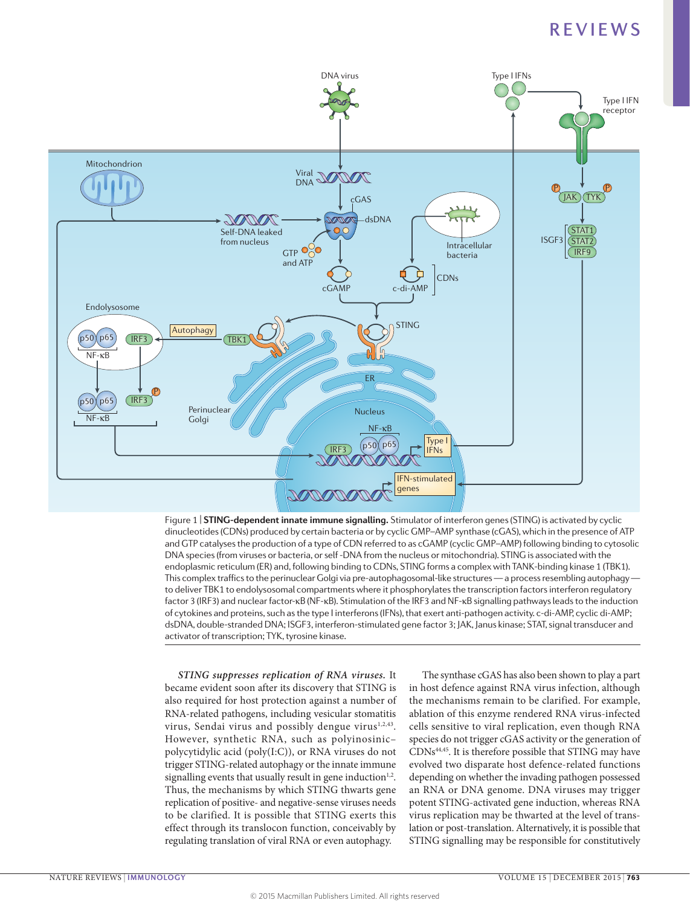

dinucleotides (CDNs) produced by certain bacteria or by cyclic GMP–AMP synthase (cGAS), which in the presence of ATP Figure 1 | **STING-dependent innate immune signalling.** Stimulator of interferon genes (STING) is activated by cyclic and GTP catalyses the production of a type of CDN referred to as cGAMP (cyclic GMP–AMP) following binding to cytosolic DNA species (from viruses or bacteria, or self -DNA from the nucleus or mitochondria). STING is associated with the endoplasmic reticulum (ER) and, following binding to CDNs, STING forms a complex with TANK-binding kinase 1 (TBK1). This complex traffics to the perinuclear Golgi via pre-autophagosomal-like structures — a process resembling autophagy to deliver TBK1 to endolysosomal compartments where it phosphorylates the transcription factors interferon regulatory factor 3 (IRF3) and nuclear factor-κB (NF-κB). Stimulation of the IRF3 and NF-κB signalling pathways leads to the induction of cytokines and proteins, such as the type I interferons (IFNs), that exert anti-pathogen activity. c-di-AMP, cyclic di-AMP; dsDNA, double-stranded DNA; ISGF3, interferon-stimulated gene factor 3; JAK, Janus kinase; STAT, signal transducer and activator of transcription; TYK, tyrosine kinase.

*STING suppresses replication of RNA viruses.* It became evident soon after its discovery that STING is also required for host protection against a number of RNA-related pathogens, including vesicular stomatitis virus, Sendai virus and possibly dengue virus<sup>1,2,43</sup>. However, synthetic RNA, such as polyinosinic– polycytidylic acid (poly(I:C)), or RNA viruses do not trigger STING-related autophagy or the innate immune signalling events that usually result in gene induction $1,2$ . Thus, the mechanisms by which STING thwarts gene replication of positive- and negative-sense viruses needs to be clarified. It is possible that STING exerts this effect through its translocon function, conceivably by regulating translation of viral RNA or even autophagy.

The synthase cGAS has also been shown to play a part in host defence against RNA virus infection, although the mechanisms remain to be clarified. For example, ablation of this enzyme rendered RNA virus-infected cells sensitive to viral replication, even though RNA species do not trigger cGAS activity or the generation of CDNs44,45. It is therefore possible that STING may have evolved two disparate host defence-related functions depending on whether the invading pathogen possessed an RNA or DNA genome. DNA viruses may trigger potent STING-activated gene induction, whereas RNA virus replication may be thwarted at the level of translation or post-translation. Alternatively, it is possible that STING signalling may be responsible for constitutively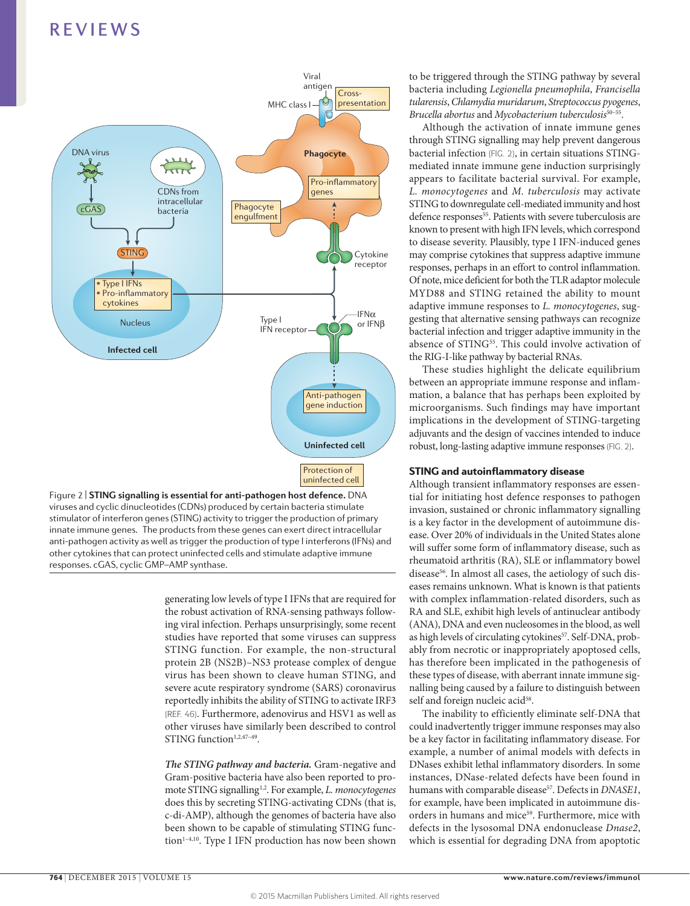

**Nature Reviews** | **Immunology** stimulator of interferon genes (STING) activity to trigger the production of primary viruses and cyclic dinucleotides (CDNs) produced by certain bacteria stimulate innate immune genes. The products from these genes can exert direct intracellular anti-pathogen activity as well as trigger the production of type I interferons (IFNs) and other cytokines that can protect uninfected cells and stimulate adaptive immune responses. cGAS, cyclic GMP–AMP synthase.

generating low levels of type I IFNs that are required for the robust activation of RNA-sensing pathways following viral infection. Perhaps unsurprisingly, some recent studies have reported that some viruses can suppress STING function. For example, the non-structural protein 2B (NS2B)–NS3 protease complex of dengue virus has been shown to cleave human STING, and severe acute respiratory syndrome (SARS) coronavirus reportedly inhibits the ability of STING to activate IRF3 (REF. 46). Furthermore, adenovirus and HSV1 as well as other viruses have similarly been described to control STING function<sup>1,2,47-49</sup>.

*The STING pathway and bacteria.* Gram-negative and Gram-positive bacteria have also been reported to promote STING signalling1,2 . For example, *L. monocytogenes* does this by secreting STING-activating CDNs (that is, c-di-AMP), although the genomes of bacteria have also been shown to be capable of stimulating STING function<sup>1-4,10</sup>. Type I IFN production has now been shown

to be triggered through the STING pathway by several bacteria including *Legionella pneumophila*, *Francisella tularensis*, *Chlamydia muridarum*, *Streptococcus pyogenes*, *Brucella abortus* and *Mycobacterium tuberculosis*50–55.

Although the activation of innate immune genes through STING signalling may help prevent dangerous bacterial infection (FIG. 2), in certain situations STINGmediated innate immune gene induction surprisingly appears to facilitate bacterial survival. For example, *L. monocytogenes* and *M. tuberculosis* may activate STING to downregulate cell-mediated immunity and host defence responses<sup>55</sup>. Patients with severe tuberculosis are known to present with high IFN levels, which correspond to disease severity. Plausibly, type I IFN-induced genes may comprise cytokines that suppress adaptive immune responses, perhaps in an effort to control inflammation. Of note, mice deficient for both the TLR adaptor molecule MYD88 and STING retained the ability to mount adaptive immune responses to *L. monocytogenes*, suggesting that alternative sensing pathways can recognize bacterial infection and trigger adaptive immunity in the absence of  $STING<sup>55</sup>$ . This could involve activation of the RIG-I-like pathway by bacterial RNAs.

These studies highlight the delicate equilibrium between an appropriate immune response and inflammation, a balance that has perhaps been exploited by microorganisms. Such findings may have important implications in the development of STING-targeting adjuvants and the design of vaccines intended to induce robust, long-lasting adaptive immune responses (FIG. 2).

# STING and autoinflammatory disease

Although transient inflammatory responses are essential for initiating host defence responses to pathogen invasion, sustained or chronic inflammatory signalling is a key factor in the development of autoimmune disease. Over 20% of individuals in the United States alone will suffer some form of inflammatory disease, such as rheumatoid arthritis (RA), SLE or inflammatory bowel disease<sup>56</sup>. In almost all cases, the aetiology of such diseases remains unknown. What is known is that patients with complex inflammation-related disorders, such as RA and SLE, exhibit high levels of antinuclear antibody (ANA), DNA and even nucleosomes in the blood, as well as high levels of circulating cytokines<sup>57</sup>. Self-DNA, probably from necrotic or inappropriately apoptosed cells, has therefore been implicated in the pathogenesis of these types of disease, with aberrant innate immune signalling being caused by a failure to distinguish between self and foreign nucleic acid<sup>58</sup>.

The inability to efficiently eliminate self-DNA that could inadvertently trigger immune responses may also be a key factor in facilitating inflammatory disease. For example, a number of animal models with defects in DNases exhibit lethal inflammatory disorders. In some instances, DNase-related defects have been found in humans with comparable disease<sup>57</sup>. Defects in *DNASE1*, for example, have been implicated in autoimmune disorders in humans and mice<sup>59</sup>. Furthermore, mice with defects in the lysosomal DNA endonuclease *Dnase2*, which is essential for degrading DNA from apoptotic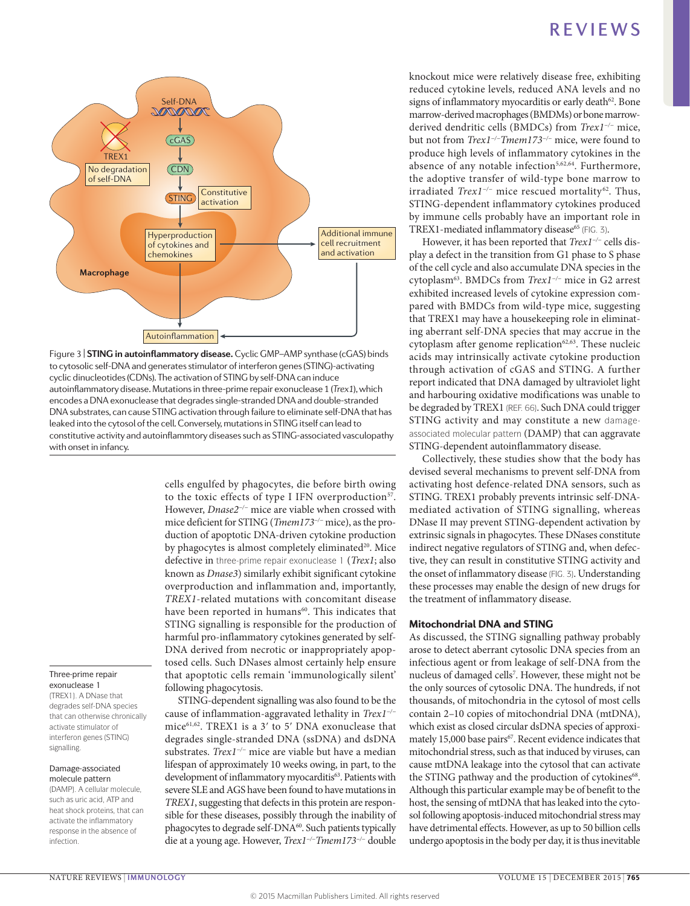

to cytosolic self-DNA and generates stimulator of interferon genes (STING)-activating Figure 3 | **STING in autoinflammatory disease.** Cyclic GMP–AMP synthase (cGAS) binds cyclic dinucleotides (CDNs). The activation of STING by self-DNA can induce autoinflammatory disease. Mutations in three-prime repair exonuclease 1 (*Trex1*), which encodes a DNA exonuclease that degrades single-stranded DNA and double-stranded DNA substrates, can cause STING activation through failure to eliminate self-DNA that has leaked into the cytosol of the cell. Conversely, mutations in STING itself can lead to constitutive activity and autoinflammtory diseases such as STING-associated vasculopathy with onset in infancy.

Three-prime repair exonuclease 1

(TREX1). A DNase that degrades self-DNA species that can otherwise chronically activate stimulator of interferon genes (STING) signalling.

#### Damage-associated molecule pattern

(DAMP). A cellular molecule, such as uric acid, ATP and heat shock proteins, that can activate the inflammatory response in the absence of infection.

to the toxic effects of type I IFN overproduction<sup>57</sup>. However, *Dnase2−/−* mice are viable when crossed with mice deficient for STING (*Tmem173−/−* mice), as the production of apoptotic DNA-driven cytokine production by phagocytes is almost completely eliminated<sup>20</sup>. Mice defective in three-prime repair exonuclease 1 (*Trex1*; also known as *Dnase3*) similarly exhibit significant cytokine overproduction and inflammation and, importantly, *TREX1*-related mutations with concomitant disease have been reported in humans<sup>60</sup>. This indicates that STING signalling is responsible for the production of harmful pro-inflammatory cytokines generated by self-DNA derived from necrotic or inappropriately apoptosed cells. Such DNases almost certainly help ensure that apoptotic cells remain 'immunologically silent' following phagocytosis. STING-dependent signalling was also found to be the

cells engulfed by phagocytes, die before birth owing

cause of inflammation-aggravated lethality in *Trex1−/−* mice61,62. TREX1 is a 3ʹ to 5ʹ DNA exonuclease that degrades single-stranded DNA (ssDNA) and dsDNA substrates. *Trex1−/−* mice are viable but have a median lifespan of approximately 10 weeks owing, in part, to the development of inflammatory myocarditis<sup>63</sup>. Patients with severe SLE and AGS have been found to have mutations in *TREX1*, suggesting that defects in this protein are responsible for these diseases, possibly through the inability of phagocytes to degrade self-DNA<sup>60</sup>. Such patients typically die at a young age. However, *Trex1−/−Tmem173−/−* double knockout mice were relatively disease free, exhibiting reduced cytokine levels, reduced ANA levels and no signs of inflammatory myocarditis or early death $62$ . Bone marrow-derived macrophages (BMDMs) or bone marrowderived dendritic cells (BMDCs) from *Trex1−/−* mice, but not from *Trex1−/−Tmem173−/−* mice, were found to produce high levels of inflammatory cytokines in the absence of any notable infection $5,62,64$ . Furthermore, the adoptive transfer of wild-type bone marrow to irradiated *Trex1−/−* mice rescued mortality 62. Thus, STING-dependent inflammatory cytokines produced by immune cells probably have an important role in TREX1-mediated inflammatory disease<sup>65</sup> (FIG. 3).

However, it has been reported that *Trex1−/−* cells display a defect in the transition from G1 phase to S phase of the cell cycle and also accumulate DNA species in the cytoplasm63. BMDCs from *Trex1−/−* mice in G2 arrest exhibited increased levels of cytokine expression compared with BMDCs from wild-type mice, suggesting that TREX1 may have a housekeeping role in eliminating aberrant self-DNA species that may accrue in the cytoplasm after genome replication $62,63$ . These nucleic acids may intrinsically activate cytokine production through activation of cGAS and STING. A further report indicated that DNA damaged by ultraviolet light and harbouring oxidative modifications was unable to be degraded by TREX1 (REF. 66). Such DNA could trigger STING activity and may constitute a new damageassociated molecular pattern (DAMP) that can aggravate STING-dependent autoinflammatory disease.

Collectively, these studies show that the body has devised several mechanisms to prevent self-DNA from activating host defence-related DNA sensors, such as STING. TREX1 probably prevents intrinsic self-DNAmediated activation of STING signalling, whereas DNase II may prevent STING-dependent activation by extrinsic signals in phagocytes. These DNases constitute indirect negative regulators of STING and, when defective, they can result in constitutive STING activity and the onset of inflammatory disease (FIG. 3). Understanding these processes may enable the design of new drugs for the treatment of inflammatory disease.

# Mitochondrial DNA and STING

As discussed, the STING signalling pathway probably arose to detect aberrant cytosolic DNA species from an infectious agent or from leakage of self-DNA from the nucleus of damaged cells<sup>7</sup>. However, these might not be the only sources of cytosolic DNA. The hundreds, if not thousands, of mitochondria in the cytosol of most cells contain 2–10 copies of mitochondrial DNA (mtDNA), which exist as closed circular dsDNA species of approximately 15,000 base pairs<sup>67</sup>. Recent evidence indicates that mitochondrial stress, such as that induced by viruses, can cause mtDNA leakage into the cytosol that can activate the STING pathway and the production of cytokines<sup>68</sup>. Although this particular example may be of benefit to the host, the sensing of mtDNA that has leaked into the cytosol following apoptosis-induced mitochondrial stress may have detrimental effects. However, as up to 50 billion cells undergo apoptosis in the body per day, it is thus inevitable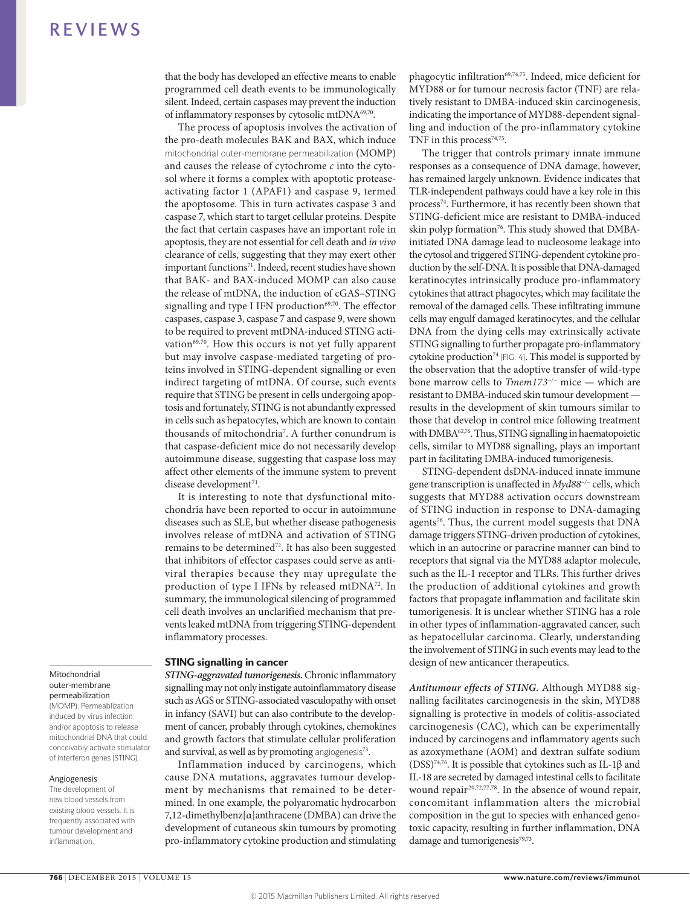that the body has developed an effective means to enable programmed cell death events to be immunologically silent. Indeed, certain caspases may prevent the induction of inflammatory responses by cytosolic mtDNA69,70.

The process of apoptosis involves the activation of the pro-death molecules BAK and BAX, which induce mitochondrial outer-membrane permeabilization (MOMP) and causes the release of cytochrome *c* into the cytosol where it forms a complex with apoptotic proteaseactivating factor 1 (APAF1) and caspase 9, termed the apoptosome. This in turn activates caspase 3 and caspase 7, which start to target cellular proteins. Despite the fact that certain caspases have an important role in apoptosis, they are not essential for cell death and *in vivo* clearance of cells, suggesting that they may exert other important functions<sup>71</sup>. Indeed, recent studies have shown that BAK- and BAX-induced MOMP can also cause the release of mtDNA, the induction of cGAS–STING signalling and type I IFN production<sup>69,70</sup>. The effector caspases, caspase 3, caspase 7 and caspase 9, were shown to be required to prevent mtDNA-induced STING activation $69,70$ . How this occurs is not yet fully apparent but may involve caspase-mediated targeting of proteins involved in STING-dependent signalling or even indirect targeting of mtDNA. Of course, such events require that STING be present in cells undergoing apoptosis and fortunately, STING is not abundantly expressed in cells such as hepatocytes, which are known to contain thousands of mitochondria7 . A further conundrum is that caspase-deficient mice do not necessarily develop autoimmune disease, suggesting that caspase loss may affect other elements of the immune system to prevent disease development<sup>71</sup>.

It is interesting to note that dysfunctional mitochondria have been reported to occur in autoimmune diseases such as SLE, but whether disease pathogenesis involves release of mtDNA and activation of STING remains to be determined<sup>72</sup>. It has also been suggested that inhibitors of effector caspases could serve as antiviral therapies because they may upregulate the production of type I IFNs by released mtDNA<sup>72</sup>. In summary, the immunological silencing of programmed cell death involves an unclarified mechanism that prevents leaked mtDNA from triggering STING-dependent inflammatory processes.

### STING signalling in cancer

*STING-aggravated tumorigenesis.* Chronic inflammatory signalling may not only instigate autoinflammatory disease such as AGS or STING-associated vasculopathy with onset in infancy (SAVI) but can also contribute to the development of cancer, probably through cytokines, chemokines and growth factors that stimulate cellular proliferation and survival, as well as by promoting angiogenesis $73$ .

Inflammation induced by carcinogens, which cause DNA mutations, aggravates tumour development by mechanisms that remained to be determined. In one example, the polyaromatic hydrocarbon 7,12-dimethylbenz[α]anthracene (DMBA) can drive the development of cutaneous skin tumours by promoting pro-inflammatory cytokine production and stimulating phagocytic infiltration<sup>69,74,75</sup>. Indeed, mice deficient for MYD88 or for tumour necrosis factor (TNF) are relatively resistant to DMBA-induced skin carcinogenesis, indicating the importance of MYD88-dependent signalling and induction of the pro-inflammatory cytokine TNF in this process<sup>74,75</sup>.

The trigger that controls primary innate immune responses as a consequence of DNA damage, however, has remained largely unknown. Evidence indicates that TLR-independent pathways could have a key role in this process74. Furthermore, it has recently been shown that STING-deficient mice are resistant to DMBA-induced skin polyp formation<sup>76</sup>. This study showed that DMBAinitiated DNA damage lead to nucleosome leakage into the cytosol and triggered STING-dependent cytokine production by the self-DNA. It is possible that DNA-damaged keratinocytes intrinsically produce pro-inflammatory cytokines that attract phagocytes, which may facilitate the removal of the damaged cells. These infiltrating immune cells may engulf damaged keratinocytes, and the cellular DNA from the dying cells may extrinsically activate STING signalling to further propagate pro-inflammatory cytokine production<sup>74</sup> (FIG. 4). This model is supported by the observation that the adoptive transfer of wild-type bone marrow cells to *Tmem173−/−* mice — which are resistant to DMBA-induced skin tumour development results in the development of skin tumours similar to those that develop in control mice following treatment with DMBA<sup>62,76</sup>. Thus, STING signalling in haematopoietic cells, similar to MYD88 signalling, plays an important part in facilitating DMBA-induced tumorigenesis.

STING-dependent dsDNA-induced innate immune gene transcription is unaffected in *Myd88−/−* cells, which suggests that MYD88 activation occurs downstream of STING induction in response to DNA-damaging agents<sup>76</sup>. Thus, the current model suggests that DNA damage triggers STING-driven production of cytokines, which in an autocrine or paracrine manner can bind to receptors that signal via the MYD88 adaptor molecule, such as the IL-1 receptor and TLRs. This further drives the production of additional cytokines and growth factors that propagate inflammation and facilitate skin tumorigenesis. It is unclear whether STING has a role in other types of inflammation-aggravated cancer, such as hepatocellular carcinoma. Clearly, understanding the involvement of STING in such events may lead to the design of new anticancer therapeutics.

*Antitumour effects of STING.* Although MYD88 signalling facilitates carcinogenesis in the skin, MYD88 signalling is protective in models of colitis-associated carcinogenesis (CAC), which can be experimentally induced by carcinogens and inflammatory agents such as azoxymethane (AOM) and dextran sulfate sodium (DSS)<sup>74,76</sup>. It is possible that cytokines such as IL-1 $\beta$  and IL-18 are secreted by damaged intestinal cells to facilitate wound repair<sup>20,72,77,78</sup>. In the absence of wound repair, concomitant inflammation alters the microbial composition in the gut to species with enhanced genotoxic capacity, resulting in further inflammation, DNA damage and tumorigenesis<sup>79,73</sup>.

### Mitochondrial outer-membrane permeabilization

(MOMP). Permeablization induced by virus infection and/or apoptosis to release mitochondrial DNA that could conceivably activate stimulator of interferon genes (STING).

### Angiogenesis

The development of new blood vessels from existing blood vessels. It is frequently associated with tumour development and inflammation.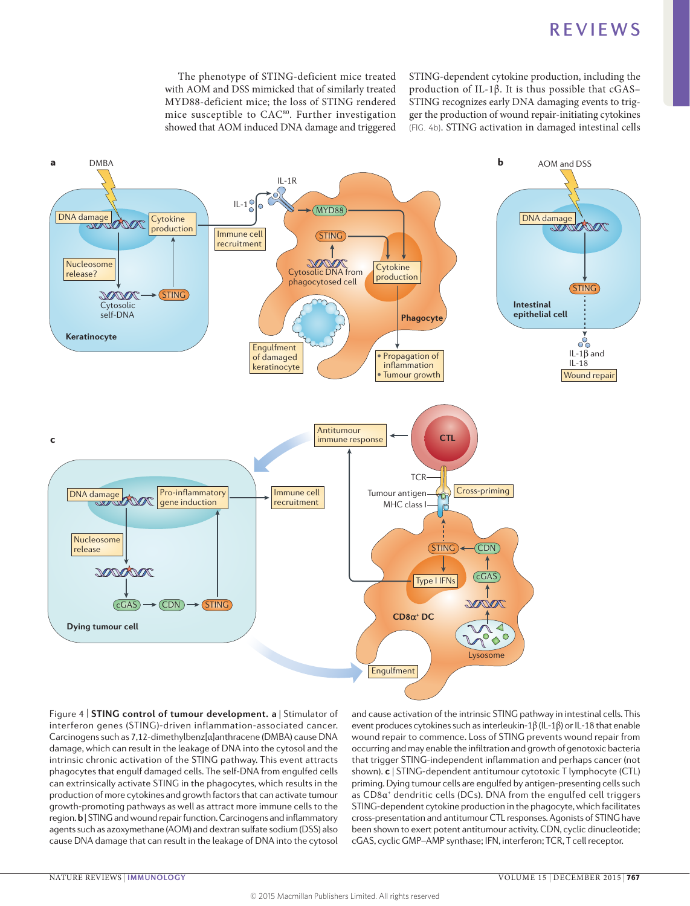The phenotype of STING-deficient mice treated with AOM and DSS mimicked that of similarly treated MYD88-deficient mice; the loss of STING rendered mice susceptible to CAC80. Further investigation showed that AOM induced DNA damage and triggered STING-dependent cytokine production, including the production of IL-1β. It is thus possible that cGAS– STING recognizes early DNA damaging events to trigger the production of wound repair-initiating cytokines (FIG. 4b). STING activation in damaged intestinal cells



Figure 4 | **STING control of tumour development. a** | Stimulator of interferon genes (STING)-driven inflammation-associated cancer. Carcinogens such as 7,12-dimethylbenz[α]anthracene (DMBA) cause DNA damage, which can result in the leakage of DNA into the cytosol and the intrinsic chronic activation of the STING pathway. This event attracts phagocytes that engulf damaged cells. The self-DNA from engulfed cells can extrinsically activate STING in the phagocytes, which results in the production of more cytokines and growth factors that can activate tumour growth-promoting pathways as well as attract more immune cells to the region. **b** | STING and wound repair function. Carcinogens and inflammatory agents such as azoxymethane (AOM) and dextran sulfate sodium (DSS) also cause DNA damage that can result in the leakage of DNA into the cytosol

wound repair to commence. Loss of STING prevents wound repair from and cause activation of the intrinsic STING pathway in intestinal cells. This event produces cytokines such as interleukin-1β (IL-1β) or IL-18 that enable occurring and may enable the infiltration and growth of genotoxic bacteria that trigger STING-independent inflammation and perhaps cancer (not shown). **c** | STING-dependent antitumour cytotoxic T lymphocyte (CTL) priming. Dying tumour cells are engulfed by antigen-presenting cells such as CD8α<sup>+</sup> dendritic cells (DCs). DNA from the engulfed cell triggers STING-dependent cytokine production in the phagocyte, which facilitates cross-presentation and antitumour CTL responses. Agonists of STING have been shown to exert potent antitumour activity. CDN, cyclic dinucleotide; cGAS, cyclic GMP–AMP synthase; IFN, interferon; TCR, T cell receptor.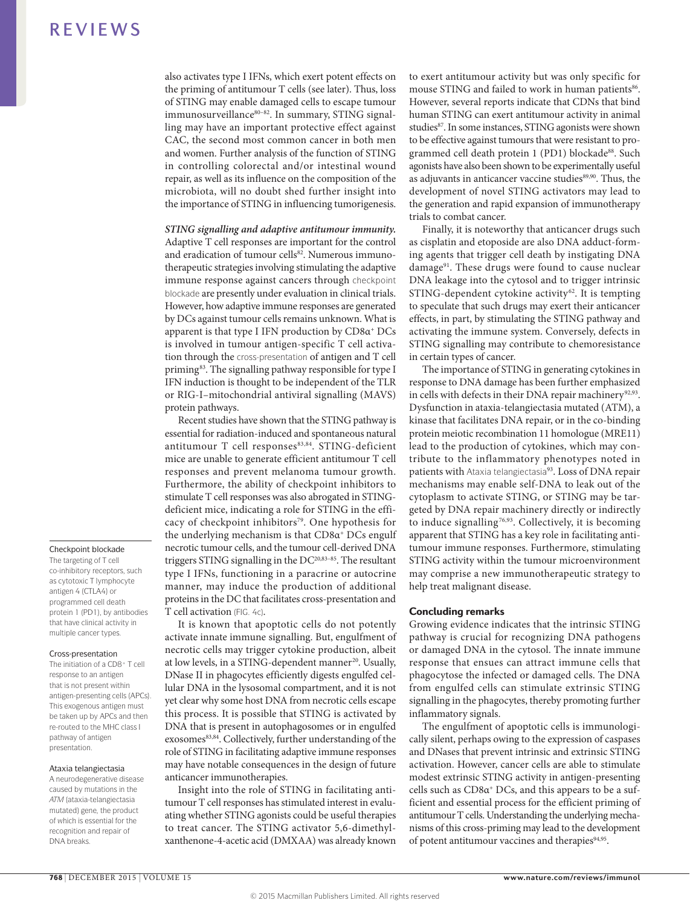also activates type I IFNs, which exert potent effects on the priming of antitumour T cells (see later). Thus, loss of STING may enable damaged cells to escape tumour immunosurveillance80-82. In summary, STING signalling may have an important protective effect against CAC, the second most common cancer in both men and women. Further analysis of the function of STING in controlling colorectal and/or intestinal wound repair, as well as its influence on the composition of the microbiota, will no doubt shed further insight into the importance of STING in influencing tumorigenesis.

# *STING signalling and adaptive antitumour immunity.* Adaptive T cell responses are important for the control

and eradication of tumour cells<sup>82</sup>. Numerous immunotherapeutic strategies involving stimulating the adaptive immune response against cancers through checkpoint blockade are presently under evaluation in clinical trials. However, how adaptive immune responses are generated by DCs against tumour cells remains unknown. What is apparent is that type I IFN production by CD8α+ DCs is involved in tumour antigen-specific T cell activation through the cross-presentation of antigen and T cell priming<sup>83</sup>. The signalling pathway responsible for type I IFN induction is thought to be independent of the TLR or RIG-I–mitochondrial antiviral signalling (MAVS) protein pathways.

Recent studies have shown that the STING pathway is essential for radiation-induced and spontaneous natural antitumour T cell responses83,84. STING-deficient mice are unable to generate efficient antitumour T cell responses and prevent melanoma tumour growth. Furthermore, the ability of checkpoint inhibitors to stimulate T cell responses was also abrogated in STINGdeficient mice, indicating a role for STING in the efficacy of checkpoint inhibitors<sup>79</sup>. One hypothesis for the underlying mechanism is that  $CD8\alpha^+$  DCs engulf necrotic tumour cells, and the tumour cell-derived DNA triggers STING signalling in the DC<sup>20,83-85</sup>. The resultant type I IFNs, functioning in a paracrine or autocrine manner, may induce the production of additional proteins in the DC that facilitates cross-presentation and T cell activation (FIG. 4c).

It is known that apoptotic cells do not potently activate innate immune signalling. But, engulfment of necrotic cells may trigger cytokine production, albeit at low levels, in a STING-dependent manner<sup>20</sup>. Usually, DNase II in phagocytes efficiently digests engulfed cellular DNA in the lysosomal compartment, and it is not yet clear why some host DNA from necrotic cells escape this process. It is possible that STING is activated by DNA that is present in autophagosomes or in engulfed exosomes<sup>83,84</sup>. Collectively, further understanding of the role of STING in facilitating adaptive immune responses may have notable consequences in the design of future anticancer immunotherapies.

Insight into the role of STING in facilitating antitumour T cell responses has stimulated interest in evaluating whether STING agonists could be useful therapies to treat cancer. The STING activator 5,6-dimethylxanthenone-4-acetic acid (DMXAA) was already known to exert antitumour activity but was only specific for mouse STING and failed to work in human patients<sup>86</sup>. However, several reports indicate that CDNs that bind human STING can exert antitumour activity in animal studies<sup>87</sup>. In some instances, STING agonists were shown to be effective against tumours that were resistant to programmed cell death protein 1 (PD1) blockade<sup>88</sup>. Such agonists have also been shown to be experimentally useful as adjuvants in anticancer vaccine studies<sup>89,90</sup>. Thus, the development of novel STING activators may lead to the generation and rapid expansion of immunotherapy trials to combat cancer.

Finally, it is noteworthy that anticancer drugs such as cisplatin and etoposide are also DNA adduct-forming agents that trigger cell death by instigating DNA damage<sup>91</sup>. These drugs were found to cause nuclear DNA leakage into the cytosol and to trigger intrinsic  $STING-dependent$  cytokine activity<sup>62</sup>. It is tempting to speculate that such drugs may exert their anticancer effects, in part, by stimulating the STING pathway and activating the immune system. Conversely, defects in STING signalling may contribute to chemoresistance in certain types of cancer.

The importance of STING in generating cytokines in response to DNA damage has been further emphasized in cells with defects in their DNA repair machinery<sup>92,93</sup>. Dysfunction in ataxia-telangiectasia mutated (ATM), a kinase that facilitates DNA repair, or in the co-binding protein meiotic recombination 11 homologue (MRE11) lead to the production of cytokines, which may contribute to the inflammatory phenotypes noted in patients with Ataxia telangiectasia<sup>93</sup>. Loss of DNA repair mechanisms may enable self-DNA to leak out of the cytoplasm to activate STING, or STING may be targeted by DNA repair machinery directly or indirectly to induce signalling<sup>76,93</sup>. Collectively, it is becoming apparent that STING has a key role in facilitating antitumour immune responses. Furthermore, stimulating STING activity within the tumour microenvironment may comprise a new immunotherapeutic strategy to help treat malignant disease.

### Concluding remarks

Growing evidence indicates that the intrinsic STING pathway is crucial for recognizing DNA pathogens or damaged DNA in the cytosol. The innate immune response that ensues can attract immune cells that phagocytose the infected or damaged cells. The DNA from engulfed cells can stimulate extrinsic STING signalling in the phagocytes, thereby promoting further inflammatory signals.

The engulfment of apoptotic cells is immunologically silent, perhaps owing to the expression of caspases and DNases that prevent intrinsic and extrinsic STING activation. However, cancer cells are able to stimulate modest extrinsic STING activity in antigen-presenting cells such as  $CD8\alpha^+DCs$ , and this appears to be a sufficient and essential process for the efficient priming of antitumour T cells. Understanding the underlying mechanisms of this cross-priming may lead to the development of potent antitumour vaccines and therapies<sup>94,95</sup>.

### Checkpoint blockade

The targeting of T cell co-inhibitory receptors, such as cytotoxic T lymphocyte antigen 4 (CTLA4) or programmed cell death protein 1 (PD1), by antibodies that have clinical activity in multiple cancer types.

### Cross-presentation

The initiation of a CD8+ T cell response to an antigen that is not present within antigen-presenting cells (APCs). This exogenous antigen must be taken up by APCs and then re-routed to the MHC class I pathway of antigen presentation.

#### Ataxia telangiectasia

A neurodegenerative disease caused by mutations in the *ATM* (ataxia-telangiectasia mutated) gene, the product of which is essential for the recognition and repair of DNA breaks.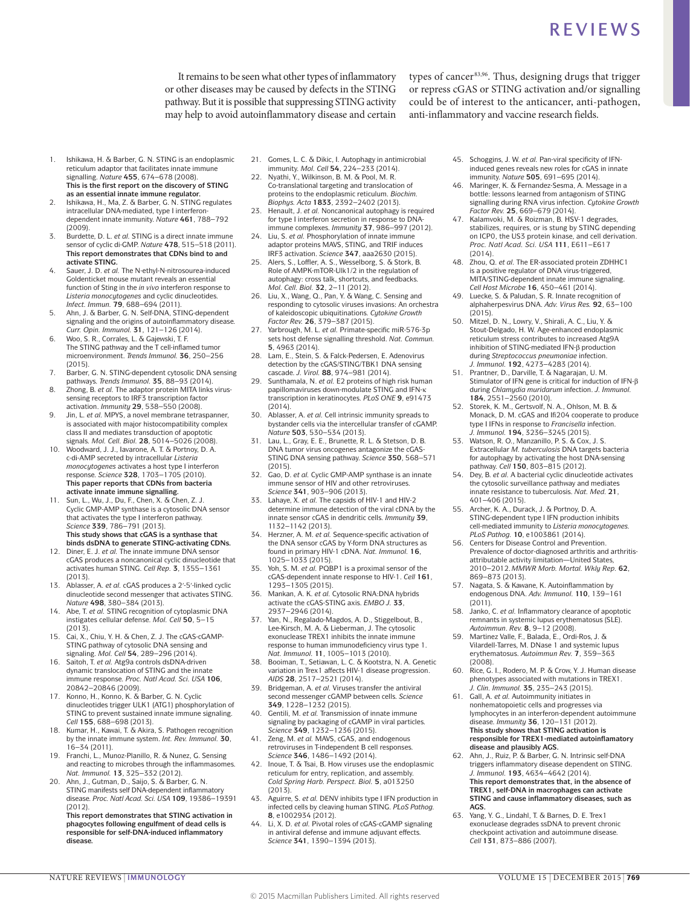It remains to be seen what other types of inflammatory or other diseases may be caused by defects in the STING pathway. But it is possible that suppressing STING activity may help to avoid autoinflammatory disease and certain types of cancer<sup>83,96</sup>. Thus, designing drugs that trigger or repress cGAS or STING activation and/or signalling could be of interest to the anticancer, anti-pathogen, anti-inflammatory and vaccine research fields.

- Ishikawa, H. & Barber, G. N. STING is an endoplasmic reticulum adaptor that facilitates innate immune signalling. *Nature* **455**, 674–678 (2008). **This is the first report on the discovery of STING as an essential innate immune regulator.**
- 2. Ishikawa, H., Ma, Z. & Barber, G. N. STING regulates intracellular DNA-mediated, type I interferondependent innate immunity. *Nature* **461**, 788–792 (2009).
- 3. Burdette, D. L. *et al.* STING is a direct innate immune sensor of cyclic di-GMP. *Nature* **478**, 515–518 (2011). **This report demonstrates that CDNs bind to and activate STING.**
- 4. Sauer, J. D. *et al.* The N-ethyl-N-nitrosourea-induced Goldenticket mouse mutant reveals an essential function of Sting in the *in vivo* interferon response to *Listeria monocytogenes* and cyclic dinucleotides. *Infect. Immun.* **79**, 688–694 (2011).
- 5. Ahn, J. & Barber, G. N. Self-DNA, STING-dependent signaling and the origins of autoinflammatory disease. *Curr. Opin. Immunol.* **31**, 121–126 (2014).
- 6. Woo, S. R., Corrales, L. & Gajewski, T. F. The STING pathway and the T cell-inflamed tumor microenvironment. *Trends Immunol.* **36**, 250–256 (2015).
- 7. Barber, G. N. STING-dependent cytosolic DNA sensing pathways. *Trends Immunol.* **35**, 88–93 (2014). 8. Zhong, B. *et al.* The adaptor protein MITA links virus-
- sensing receptors to IRF3 transcription factor activation. *Immunity* **29**, 538–550 (2008).
- 9. Jin, L. *et al.* MPYS, a novel membrane tetraspanner, is associated with major histocompatibility complex class II and mediates transduction of apoptotic signals*. Mol. Cell. Biol.* **28**, 5014–5026 (2008).
- 10. Woodward, J. J., Iavarone, A. T. & Portnoy, D. A. c-di-AMP secreted by intracellular *Listeria monocytogenes* activates a host type I interferon response. *Science* **328**, 1703–1705 (2010). **This paper reports that CDNs from bacteria activate innate immune signalling.**
- 11. Sun, L., Wu, J., Du, F., Chen, X. & Chen, Z. J. Cyclic GMP-AMP synthase is a cytosolic DNA sensor that activates the type I interferon pathway. *Science* **339**, 786–791 (2013). **This study shows that cGAS is a synthase that**
- **binds dsDNA to generate STING-activating CDNs.** 12. Diner, E. J. *et al.* The innate immune DNA sensor cGAS produces a noncanonical cyclic dinucleotide that activates human STING. *Cell Rep.* **3**, 1355–1361 (2013).
- Ablasser, A. *et al.* cGAS produces a 2'-5'-linked cyclic dinucleotide second messenger that activates STING. *Nature* **498**, 380–384 (2013).
- 14. Abe, T. *et al.* STING recognition of cytoplasmic DNA instigates cellular defense. *Mol. Cell* **50**, 5–15 (2013).
- 15. Cai, X., Chiu, Y. H. & Chen, Z. J. The cGAS-cGAMP-STING pathway of cytosolic DNA sensing and signaling. *Mol. Cell* **54**, 289–296 (2014).
- 16. Saitoh, T. *et al.* Atg9a controls dsDNA-driven dynamic translocation of STING and the innate immune response. *Proc. Natl Acad. Sci. USA* **106**, 20842–20846 (2009).
- 17. Konno, H., Konno, K. & Barber, G. N. Cyclic dinucleotides trigger ULK1 (ATG1) phosphorylation of STING to prevent sustained innate immune signaling. *Cell* **155**, 688–698 (2013).
- Kumar, H., Kawai, T. & Akira, S. Pathogen recognition by the innate immune system. *Int. Rev. Immunol.* **30**, 16–34 (2011).
- 19. Franchi, L., Munoz-Planillo, R. & Nunez, G. Sensing and reacting to microbes through the inflammasomes. *Nat. Immunol.* **13**, 325–332 (2012).
- Ahn, J., Gutman, D., Saijo, S. & Barber, G. N. STING manifests self DNA-dependent inflammatory disease. *Proc. Natl Acad. Sci. USA* **109**, 19386–19391 (2012).

**This report demonstrates that STING activation in phagocytes following engulfment of dead cells is responsible for self-DNA-induced inflammatory disease.**

- 21. Gomes, L. C. & Dikic, I. Autophagy in antimicrobial immunity. *Mol. Cell* **54**, 224–233 (2014).
- 22. Nyathi, Y., Wilkinson, B. M. & Pool, M. R. Co-translational targeting and translocation of proteins to the endoplasmic reticulum. *Biochim. Biophys. Acta* **1833**, 2392–2402 (2013).
- 23. Henault, J. *et al.* Noncanonical autophagy is required for type I interferon secretion in response to DNAimmune complexes. *Immunity* **37**, 986–997 (2012).
- 24. Liu, S. *et al.* Phosphorylation of innate immune adaptor proteins MAVS, STING, and TRIF induces IRF3 activation. *Science* **347**, aaa2630 (2015).
- 25. Alers, S., Loffler, A. S., Wesselborg, S. & Stork, B. Role of AMPK-mTOR-Ulk1/2 in the regulation of autophagy: cross talk, shortcuts, and feedbacks*. Mol. Cell. Biol.* **32**, 2–11 (2012).
- Liu, X., Wang, Q., Pan, Y. & Wang, C. Sensing and responding to cytosolic viruses invasions: An orchestra of kaleidoscopic ubiquitinations. *Cytokine Growth*
- *Factor Rev.* **26**, 379–387 (2015). 27. Yarbrough, M. L. *et al.* Primate-specific miR-576-3p sets host defense signalling threshold. *Nat. Commun.*  **5**, 4963 (2014).
- 28. Lam, E., Stein, S. & Falck-Pedersen, E. Adenovirus detection by the cGAS/STING/TBK1 DNA sensing cascade. *J. Virol.* **88**, 974–981 (2014).
- 29. Sunthamala, N. *et al.* E2 proteins of high risk human papillomaviruses down-modulate STING and IFN-κ transcription in keratinocytes. *PLoS ONE* **9**, e91473 (2014).
- 30. Ablasser, A. *et al.* Cell intrinsic immunity spreads to bystander cells via the intercellular transfer of cGAMP. *Nature* **503**, 530–534 (2013).
- Lau, L., Gray, E. E., Brunette, R. L. & Stetson, D. B. DNA tumor virus oncogenes antagonize the cGAS-STING DNA sensing pathway. *Science* **350**, 568–571 (2015).
- 32. Gao, D. *et al.* Cyclic GMP-AMP synthase is an innate immune sensor of HIV and other retroviruses. *Science* **341**, 903–906 (2013).
- 33. Lahaye, X. *et al.* The capsids of HIV-1 and HIV-2 determine immune detection of the viral cDNA by the innate sensor cGAS in dendritic cells. *Immunity* **39**, 1132–1142 (2013).
- 34. Herzner, A. M. *et al.* Sequence-specific activation of the DNA sensor cGAS by Y-form DNA structures as found in primary HIV-1 cDNA. *Nat. Immunol.* **16**, 1025–1033 (2015).
- 35. Yoh, S. M. *et al.* PQBP1 is a proximal sensor of the cGAS-dependent innate response to HIV-1. *Cell* **161**, 1293–1305 (2015).
- 36. Mankan, A. K. *et al.* Cytosolic RNA:DNA hybrids activate the cGAS-STING axis. *EMBO J.* **33**, 2937–2946 (2014).
- 37. Yan, N., Regalado-Magdos, A. D., Stiggelbout, B., Lee-Kirsch, M. A. & Lieberman, J. The cytosolic exonuclease TREX1 inhibits the innate immune response to human immunodeficiency virus type 1. *Nat. Immunol.* **11**, 1005–1013 (2010).
- 38. Booiman, T., Setiawan, L. C. & Kootstra, N. A. Genetic variation in Trex1 affects HIV-1 disease progression. *AIDS* **28**, 2517–2521 (2014).
- 39. Bridgeman, A. *et al.* Viruses transfer the antiviral second messenger cGAMP between cells. *Science*  **349**, 1228–1232 (2015).
- 40. Gentili, M. *et al.* Transmission of innate immune signaling by packaging of cGAMP in viral particles. *Science* **349**, 1232–1236 (2015).
- 41. Zeng, M. *et al.* MAVS, cGAS, and endogenous retroviruses in T-independent B cell responses. *Science* **346**, 1486–1492 (2014).
- 42. Inoue, T. & Tsai, B. How viruses use the endoplasmic reticulum for entry, replication, and assembly. *Cold Spring Harb. Perspect. Biol.* **5**, a013250 (2013).
- 43. Aguirre, S. *et al.* DENV inhibits type I IFN production in infected cells by cleaving human STING. *PLoS Pathog.*  **8**, e1002934 (2012).
- 44. Li, X. D. *et al.* Pivotal roles of cGAS-cGAMP signaling in antiviral defense and immune adjuvant effects. *Science* **341**, 1390–1394 (2013).
- 45. Schoggins, J. W. *et al.* Pan-viral specificity of IFNinduced genes reveals new roles for cGAS in innate immunity. *Nature* **505**, 691–695 (2014).
- 46. Maringer, K. & Fernandez-Sesma, A. Message in a bottle: lessons learned from antagonism of STING signalling during RNA virus infection. *Cytokine Growth Factor Rev.* **25**, 669–679 (2014).
- 47. Kalamvoki, M. & Roizman, B. HSV-1 degrades, stabilizes, requires, or is stung by STING depending on ICP0, the US3 protein kinase, and cell derivation. *Proc. Natl Acad. Sci. USA* **111**, E611–E617 (2014).
- 48. Zhou, Q. *et al.* The ER-associated protein ZDHHC1 is a positive regulator of DNA virus-triggered, MITA/STING-dependent innate immune signaling. *Cell Host Microbe* **16**, 450–461 (2014).
- Luecke, S. & Paludan, S. R. Innate recognition of alphaherpesvirus DNA. *Adv. Virus Res.* **92**, 63–100 (2015).
- 50. Mitzel, D. N., Lowry, V., Shirali, A. C., Liu, Y. & Stout-Delgado, H. W. Age-enhanced endoplasmic reticulum stress contributes to increased Atg9A inhibition of STING-mediated IFN-β production during *Streptococcus pneumoniae* infection. *J. Immunol.* **192**, 4273–4283 (2014).
- 51. Prantner, D., Darville, T. & Nagarajan, U. M. Stimulator of IFN gene is critical for induction of IFN-β during *Chlamydia muridarum* infection. *J. Immunol.*  **184**, 2551–2560 (2010).
- 52. Storek, K. M., Gertsvolf, N. A., Ohlson, M. B. & Monack, D. M. cGAS and Ifi204 cooperate to produce type I IFNs in response to *Francisella* infection. *J. Immunol.* **194**, 3236–3245 (2015).
- 53. Watson, R. O., Manzanillo, P. S. & Cox, J. S. Extracellular *M. tuberculosis* DNA targets bacteria for autophagy by activating the host DNA-sensing pathway. *Cell* **150**, 803–815 (2012).
- 54. Dey, B. *et al.* A bacterial cyclic dinucleotide activates the cytosolic surveillance pathway and mediates innate resistance to tuberculosis. *Nat. Med.* **21**, 401–406 (2015).
- 55. Archer, K. A., Durack, J. & Portnoy, D. A. STING-dependent type I IFN production inhibits cell-mediated immunity to *Listeria monocytogenes. PLoS Pathog.* **10**, e1003861 (2014).
- 56. Centers for Disease Control and Prevention. Prevalence of doctor-diagnosed arthritis and arthritisattributable activity limitation—United States, 2010–2012.*MMWR Morb. Mortal. Wkly Rep.* **62**, 869–873 (2013).
- 57. Nagata, S. & Kawane, K. Autoinflammation by endogenous DNA. *Adv. Immunol.* **110**, 139–161  $(2011)$
- 58. Janko, C. *et al.* Inflammatory clearance of apoptotic remnants in systemic lupus erythematosus (SLE). *Autoimmun*. *Rev.* **8**, 9–12 (2008).
- 59. Martinez Valle, F., Balada, E., Ordi-Ros, J. & Vilardell-Tarres, M. DNase 1 and systemic lupus erythematosus. *Autoimmun Rev.* **7**, 359–363  $(2008)$ .
- 60. Rice, G. I., Rodero, M. P. & Crow, Y. J. Human disease phenotypes associated with mutations in TREX1. *J. Clin. Immunol.* **35**, 235–243 (2015).
- 61. Gall, A. *et al.* Autoimmunity initiates in nonhematopoietic cells and progresses via lymphocytes in an interferon-dependent autoimmune disease. *Immunity* **36**, 120–131 (2012). **This study shows that STING activation is responsible for TREX1-mediated autoinflamatory disease and plausibly AGS.**
- 62. Ahn, J., Ruiz, P. & Barber, G. N. Intrinsic self-DNA triggers inflammatory disease dependent on STING. *J. Immunol.* **193**, 4634–4642 (2014). **This report demonstrates that, in the absence of TREX1, self-DNA in macrophages can activate STING and cause inflammatory diseases, such as AGS.**
- 63. Yang, Y. G., Lindahl, T. & Barnes, D. E. Trex1 exonuclease degrades ssDNA to prevent chronic checkpoint activation and autoimmune disease. *Cell* **131**, 873–886 (2007).